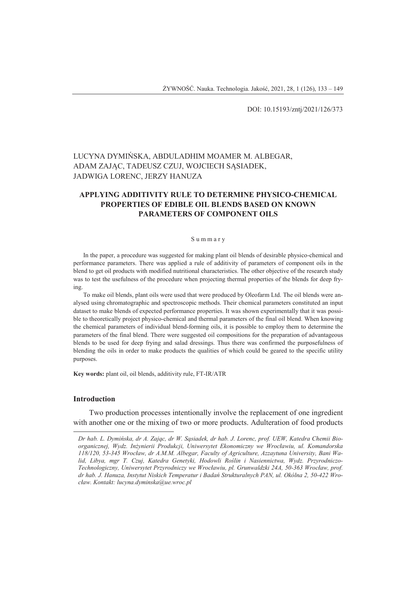DOI: 10.15193/zntj/2021/126/373

# LUCYNA DYMIŃSKA, ABDULADHIM MOAMER M. ALBEGAR, ADAM ZAJĄC, TADEUSZ CZUJ, WOJCIECH SĄSIADEK, JADWIGA LORENC, JERZY HANUZA

## **APPLYING ADDITIVITY RULE TO DETERMINE PHYSICO-CHEMICAL PROPERTIES OF EDIBLE OIL BLENDS BASED ON KNOWN PARAMETERS OF COMPONENT OILS**

#### S u m m a r y

In the paper, a procedure was suggested for making plant oil blends of desirable physico-chemical and performance parameters. There was applied a rule of additivity of parameters of component oils in the blend to get oil products with modified nutritional characteristics. The other objective of the research study was to test the usefulness of the procedure when projecting thermal properties of the blends for deep frying.

To make oil blends, plant oils were used that were produced by Oleofarm Ltd. The oil blends were analysed using chromatographic and spectroscopic methods. Their chemical parameters constituted an input dataset to make blends of expected performance properties. It was shown experimentally that it was possible to theoretically project physico-chemical and thermal parameters of the final oil blend. When knowing the chemical parameters of individual blend-forming oils, it is possible to employ them to determine the parameters of the final blend. There were suggested oil compositions for the preparation of advantageous blends to be used for deep frying and salad dressings. Thus there was confirmed the purposefulness of blending the oils in order to make products the qualities of which could be geared to the specific utility purposes.

**Key words:** plant oil, oil blends, additivity rule, FT-IR/ATR

#### **Introduction**

 $\overline{a}$ 

Two production processes intentionally involve the replacement of one ingredient with another one or the mixing of two or more products. Adulteration of food products

*Dr hab. L. Dymińska, dr A. Zając, dr W. Sąsiadek, dr hab. J. Lorenc, prof. UEW, Katedra Chemii Bioorganicznej, Wydz. Inżynierii Produkcji, Uniwersytet Ekonomiczny we Wrocławiu, ul. Komandorska 118/120, 53-345 Wrocław, dr A.M.M. Albegar, Faculty of Agriculture, Azzaytuna University, Bani Walid, Libya, mgr T. Czuj, Katedra Genetyki, Hodowli Roślin i Nasiennictwa, Wydz. Przyrodniczo-Technologiczny, Uniwersytet Przyrodniczy we Wrocławiu, pl. Grunwaldzki 24A, 50-363 Wrocław, prof. dr hab. J. Hanuza, Instytut Niskich Temperatur i Badań Strukturalnych PAN, ul. Okólna 2, 50-422 Wrocław. Kontakt: lucyna.dyminska@ue.wroc.pl*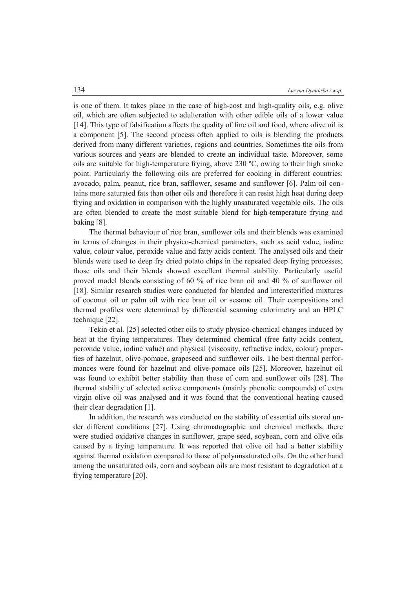is one of them. It takes place in the case of high-cost and high-quality oils, e.g. olive oil, which are often subjected to adulteration with other edible oils of a lower value [14]. This type of falsification affects the quality of fine oil and food, where olive oil is a component [5]. The second process often applied to oils is blending the products derived from many different varieties, regions and countries. Sometimes the oils from various sources and years are blended to create an individual taste. Moreover, some oils are suitable for high-temperature frying, above 230 ºC, owing to their high smoke point. Particularly the following oils are preferred for cooking in different countries: avocado, palm, peanut, rice bran, safflower, sesame and sunflower [6]. Palm oil contains more saturated fats than other oils and therefore it can resist high heat during deep frying and oxidation in comparison with the highly unsaturated vegetable oils. The oils are often blended to create the most suitable blend for high-temperature frying and baking [8].

The thermal behaviour of rice bran, sunflower oils and their blends was examined in terms of changes in their physico-chemical parameters, such as acid value, iodine value, colour value, peroxide value and fatty acids content. The analysed oils and their blends were used to deep fry dried potato chips in the repeated deep frying processes; those oils and their blends showed excellent thermal stability. Particularly useful proved model blends consisting of 60 % of rice bran oil and 40 % of sunflower oil [18]. Similar research studies were conducted for blended and interesterified mixtures of coconut oil or palm oil with rice bran oil or sesame oil. Their compositions and thermal profiles were determined by differential scanning calorimetry and an HPLC technique [22].

Tekin et al. [25] selected other oils to study physico-chemical changes induced by heat at the frying temperatures. They determined chemical (free fatty acids content, peroxide value, iodine value) and physical (viscosity, refractive index, colour) properties of hazelnut, olive-pomace, grapeseed and sunflower oils. The best thermal performances were found for hazelnut and olive-pomace oils [25]. Moreover, hazelnut oil was found to exhibit better stability than those of corn and sunflower oils [28]. The thermal stability of selected active components (mainly phenolic compounds) of extra virgin olive oil was analysed and it was found that the conventional heating caused their clear degradation [1].

In addition, the research was conducted on the stability of essential oils stored under different conditions [27]. Using chromatographic and chemical methods, there were studied oxidative changes in sunflower, grape seed, soybean, corn and olive oils caused by a frying temperature. It was reported that olive oil had a better stability against thermal oxidation compared to those of polyunsaturated oils. On the other hand among the unsaturated oils, corn and soybean oils are most resistant to degradation at a frying temperature [20].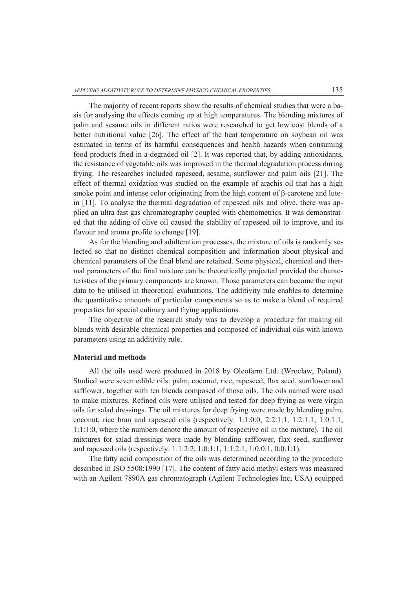The majority of recent reports show the results of chemical studies that were a basis for analysing the effects coming up at high temperatures. The blending mixtures of palm and sesame oils in different ratios were researched to get low cost blends of a better nutritional value [26]. The effect of the heat temperature on soybean oil was estimated in terms of its harmful consequences and health hazards when consuming food products fried in a degraded oil [2]. It was reported that, by adding antioxidants, the resistance of vegetable oils was improved in the thermal degradation process during frying. The researches included rapeseed, sesame, sunflower and palm oils [21]. The effect of thermal oxidation was studied on the example of arachis oil that has a high smoke point and intense color originating from the high content of  $\beta$ -carotene and lutein [11]. To analyse the thermal degradation of rapeseed oils and olive, there was applied an ultra-fast gas chromatography coupled with chemometrics. It was demonstrated that the adding of olive oil caused the stability of rapeseed oil to improve, and its flavour and aroma profile to change [19].

As for the blending and adulteration processes, the mixture of oils is randomly selected so that no distinct chemical composition and information about physical and chemical parameters of the final blend are retained. Some physical, chemical and thermal parameters of the final mixture can be theoretically projected provided the characteristics of the primary components are known. Those parameters can become the input data to be utilised in theoretical evaluations. The additivity rule enables to determine the quantitative amounts of particular components so as to make a blend of required properties for special culinary and frying applications.

The objective of the research study was to develop a procedure for making oil blends with desirable chemical properties and composed of individual oils with known parameters using an additivity rule.

#### **Material and methods**

All the oils used were produced in 2018 by Oleofarm Ltd. (Wrocław, Poland). Studied were seven edible oils: palm, coconut, rice, rapeseed, flax seed, sunflower and safflower, together with ten blends composed of those oils. The oils named were used to make mixtures. Refined oils were utilised and tested for deep frying as were virgin oils for salad dressings. The oil mixtures for deep frying were made by blending palm, coconut, rice bran and rapeseed oils (respectively: 1:1:0:0, 2:2:1:1, 1:2:1:1, 1:0:1:1, 1:1:1:0, where the numbers denote the amount of respective oil in the mixture). The oil mixtures for salad dressings were made by blending safflower, flax seed, sunflower and rapeseed oils (respectively: 1:1:2:2, 1:0:1:1, 1:1:2:1, 1:0:0:1, 0:0:1:1).

The fatty acid composition of the oils was determined according to the procedure described in ISO 5508:1990 [17]. The content of fatty acid methyl esters was measured with an Agilent 7890A gas chromatograph (Agilent Technologies Inc, USA) equipped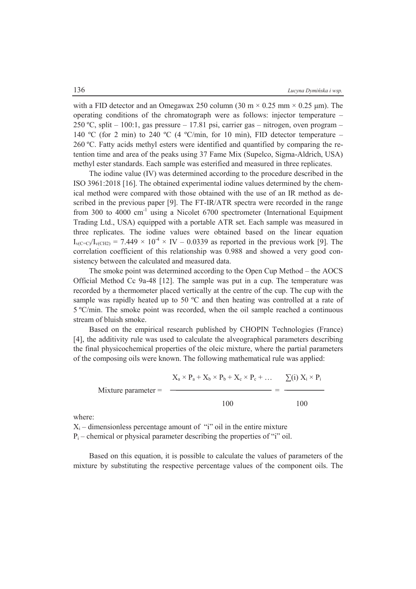with a FID detector and an Omegawax 250 column (30 m  $\times$  0.25 mm  $\times$  0.25 µm). The operating conditions of the chromatograph were as follows: injector temperature – 250 °C, split – 100:1, gas pressure – 17.81 psi, carrier gas – nitrogen, oven program – 140 °C (for 2 min) to 240 °C (4 °C/min, for 10 min), FID detector temperature – 260 ºC. Fatty acids methyl esters were identified and quantified by comparing the retention time and area of the peaks using 37 Fame Mix (Supelco, Sigma-Aldrich, USA) methyl ester standards. Each sample was esterified and measured in three replicates.

The iodine value (IV) was determined according to the procedure described in the ISO 3961:2018 [16]. The obtained experimental iodine values determined by the chemical method were compared with those obtained with the use of an IR method as described in the previous paper [9]. The FT-IR/ATR spectra were recorded in the range from 300 to 4000 cm-1 using a Nicolet 6700 spectrometer (International Equipment Trading Ltd., USA) equipped with a portable ATR set. Each sample was measured in three replicates. The iodine values were obtained based on the linear equation  $I_{\text{v}(\text{C}=\text{C})}/I_{\text{v}(\text{CH2})} = 7.449 \times 10^{-4} \times$  IV – 0.0339 as reported in the previous work [9]. The correlation coefficient of this relationship was 0.988 and showed a very good consistency between the calculated and measured data.

The smoke point was determined according to the Open Cup Method – the AOCS Official Method Cc 9a-48 [12]. The sample was put in a cup. The temperature was recorded by a thermometer placed vertically at the centre of the cup. The cup with the sample was rapidly heated up to 50 °C and then heating was controlled at a rate of 5 ºC/min. The smoke point was recorded, when the oil sample reached a continuous stream of bluish smoke.

Based on the empirical research published by CHOPIN Technologies (France) [4], the additivity rule was used to calculate the alveographical parameters describing the final physicochemical properties of the oleic mixture, where the partial parameters of the composing oils were known. The following mathematical rule was applied:

$$
\text{Mixture parameter} = \frac{X_a \times P_a + X_b \times P_b + X_c \times P_c + \dots}{100} = \frac{\sum(i) X_i \times P_i}{100}
$$

where:

 $X_i$  – dimensionless percentage amount of "i" oil in the entire mixture

 $P_i$  – chemical or physical parameter describing the properties of "i" oil.

Based on this equation, it is possible to calculate the values of parameters of the mixture by substituting the respective percentage values of the component oils. The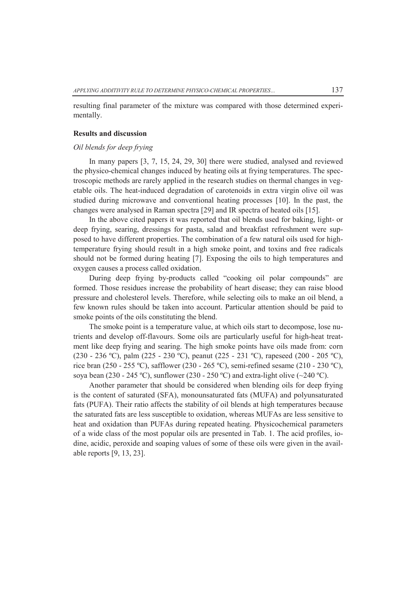resulting final parameter of the mixture was compared with those determined experimentally.

#### **Results and discussion**

#### *Oil blends for deep frying*

In many papers [3, 7, 15, 24, 29, 30] there were studied, analysed and reviewed the physico-chemical changes induced by heating oils at frying temperatures. The spectroscopic methods are rarely applied in the research studies on thermal changes in vegetable oils. The heat-induced degradation of carotenoids in extra virgin olive oil was studied during microwave and conventional heating processes [10]. In the past, the changes were analysed in Raman spectra [29] and IR spectra of heated oils [15].

In the above cited papers it was reported that oil blends used for baking, light- or deep frying, searing, dressings for pasta, salad and breakfast refreshment were supposed to have different properties. The combination of a few natural oils used for hightemperature frying should result in a high smoke point, and toxins and free radicals should not be formed during heating [7]. Exposing the oils to high temperatures and oxygen causes a process called oxidation.

During deep frying by-products called "cooking oil polar compounds" are formed. Those residues increase the probability of heart disease; they can raise blood pressure and cholesterol levels. Therefore, while selecting oils to make an oil blend, a few known rules should be taken into account. Particular attention should be paid to smoke points of the oils constituting the blend.

The smoke point is a temperature value, at which oils start to decompose, lose nutrients and develop off-flavours. Some oils are particularly useful for high-heat treatment like deep frying and searing. The high smoke points have oils made from: corn (230 - 236 ºC), palm (225 - 230 ºC), peanut (225 - 231 ºC), rapeseed (200 - 205 ºC), rice bran (250 - 255 ºC), safflower (230 - 265 ºC), semi-refined sesame (210 - 230 ºC), soya bean (230 - 245 °C), sunflower (230 - 250 °C) and extra-light olive ( $\sim$ 240 °C).

Another parameter that should be considered when blending oils for deep frying is the content of saturated (SFA), monounsaturated fats (MUFA) and polyunsaturated fats (PUFA). Their ratio affects the stability of oil blends at high temperatures because the saturated fats are less susceptible to oxidation, whereas MUFAs are less sensitive to heat and oxidation than PUFAs during repeated heating. Physicochemical parameters of a wide class of the most popular oils are presented in Tab. 1. The acid profiles, iodine, acidic, peroxide and soaping values of some of these oils were given in the available reports [9, 13, 23].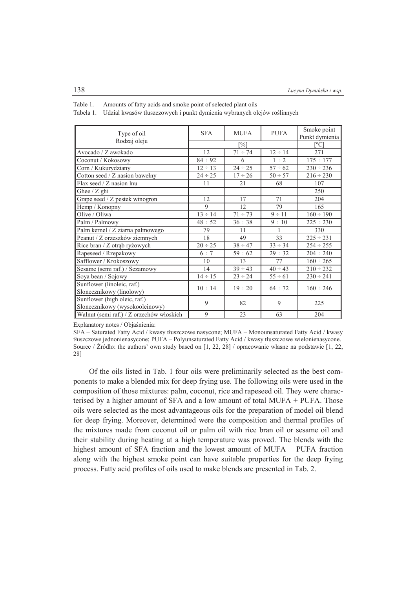| Type of oil                                                    | <b>SFA</b>   | <b>MUFA</b>       | <b>PUFA</b>  | Smoke point<br>Punkt dymienia |  |
|----------------------------------------------------------------|--------------|-------------------|--------------|-------------------------------|--|
| Rodzaj oleju                                                   |              | $\lceil\% \rceil$ |              | $\lceil{^{\circ}C}\rceil$     |  |
| Avocado / Z awokado                                            | 12           | $71 \div 74$      | $12 \div 14$ | 271                           |  |
| Coconut / Kokosowy                                             | $84 \div 92$ | 6                 | $1 \div 2$   | $175 \div 177$                |  |
| Corn / Kukurydziany                                            | $12 \div 13$ | $24 \div 25$      | $57 \div 62$ | $230 \div 236$                |  |
| Cotton seed / Z nasion bawelny                                 | $24 \div 25$ | $17 \div 26$      | $50 \div 57$ | $216 \div 230$                |  |
| Flax seed $\angle Z$ nasion lnu                                | 11           | 21                | 68           | 107                           |  |
| Ghee $\angle$ Z ghi                                            |              |                   |              | 250                           |  |
| Grape seed / Z pestek winogron                                 | 12           | 17                | 71           | 204                           |  |
| Hemp / Konopny                                                 | 9            | 12                | 79           | 165                           |  |
| Olive / Oliwa                                                  | $13 \div 14$ | $71 \div 73$      | $9 \div 11$  | $160 \div 190$                |  |
| Palm / Palmowy                                                 | $48 \div 52$ | $36 \div 38$      | $9 \div 10$  | $225 \div 230$                |  |
| Palm kernel / Z ziarna palmowego                               | 79           | 11                |              | 330                           |  |
| Peanut / Z orzeszków ziemnych                                  | 18           | 49                | 33           | $225 \div 231$                |  |
| Rice bran / Z otrąb ryżowych                                   | $20 \div 25$ | $38 \div 47$      | $33 \div 34$ | $254 \div 255$                |  |
| Rapeseed / Rzepakowy                                           | $6 \div 7$   | $59 \div 62$      | $29 \div 32$ | $204 \div 240$                |  |
| Safflower / Krokoszowy                                         | 10           | 13                | 77           | $160 \div 265$                |  |
| Sesame (semi raf.) / Sezamowy                                  | 14           | $39 \div 43$      | $40 \div 43$ | $210 \div 232$                |  |
| Soya bean / Sojowy                                             | $14 \div 15$ | $23 \div 24$      | $55 \div 61$ | $230 \div 241$                |  |
| Sunflower (linoleic, raf.)<br>Słonecznikowy (linolowy)         | $10 \div 14$ | $19 \div 20$      | $64 \div 72$ | $160 \div 246$                |  |
| Sunflower (high oleic, raf.)<br>Słonecznikowy (wysokooleinowy) | 9            | 82                | 9            | 225                           |  |
| Walnut (semi raf.) / Z orzechów włoskich                       | 9            | 23                | 63           | 204                           |  |

Table 1. Amounts of fatty acids and smoke point of selected plant oils

Tabela 1. Udział kwasów tłuszczowych i punkt dymienia wybranych olejów roślinnych

Explanatory notes / Objaśnienia:

SFA – Saturated Fatty Acid / kwasy tłuszczowe nasycone; MUFA – Monounsaturated Fatty Acid / kwasy tłuszczowe jednonienasycone; PUFA – Polyunsaturated Fatty Acid / kwasy tłuszczowe wielonienasycone. Source / Źródło: the authors' own study based on [1, 22, 28] / opracowanie własne na podstawie [1, 22, 28]

Of the oils listed in Tab. 1 four oils were preliminarily selected as the best components to make a blended mix for deep frying use. The following oils were used in the composition of those mixtures: palm, coconut, rice and rapeseed oil. They were characterised by a higher amount of SFA and a low amount of total MUFA + PUFA. Those oils were selected as the most advantageous oils for the preparation of model oil blend for deep frying. Moreover, determined were the composition and thermal profiles of the mixtures made from coconut oil or palm oil with rice bran oil or sesame oil and their stability during heating at a high temperature was proved. The blends with the highest amount of SFA fraction and the lowest amount of MUFA + PUFA fraction along with the highest smoke point can have suitable properties for the deep frying process. Fatty acid profiles of oils used to make blends are presented in Tab. 2.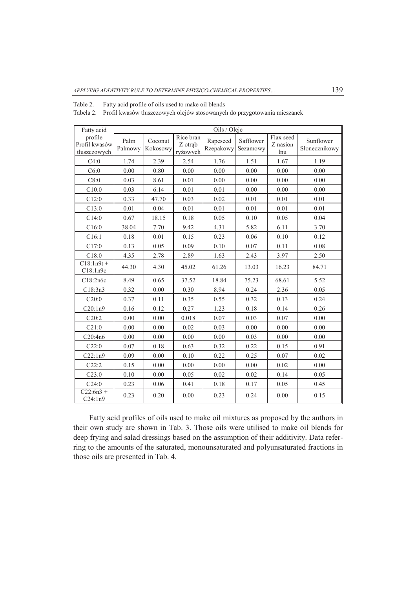| Table 2. |  | Fatty acid profile of oils used to make oil blends |  |  |
|----------|--|----------------------------------------------------|--|--|
|----------|--|----------------------------------------------------|--|--|

Tabela 2. Profil kwasów tłuszczowych olejów stosowanych do przygotowania mieszanek

| Fatty acid                               |                 |                     |                                  | Oils / Oleje          |                       |                              |                            |
|------------------------------------------|-----------------|---------------------|----------------------------------|-----------------------|-----------------------|------------------------------|----------------------------|
| profile<br>Profil kwasów<br>tłuszczowych | Palm<br>Palmowy | Coconut<br>Kokosowy | Rice bran<br>Z otrąb<br>ryżowych | Rapeseed<br>Rzepakowy | Safflower<br>Sezamowy | Flax seed<br>Z nasion<br>lnu | Sunflower<br>Słonecznikowy |
| C4:0                                     | 1.74            | 2.39                | 2.54                             | 1.76                  | 1.51                  | 1.67                         | 1.19                       |
| C6:0                                     | 0.00            | 0.80                | 0.00                             | 0.00                  | 0.00                  | 0.00                         | 0.00                       |
| C8:0                                     | 0.03            | 8.61                | 0.01                             | 0.00                  | 0.00                  | 0.00                         | 0.00                       |
| C10:0                                    | 0.03            | 6.14                | 0.01                             | 0.01                  | 0.00                  | 0.00                         | 0.00                       |
| C12:0                                    | 0.33            | 47.70               | 0.03                             | 0.02                  | 0.01                  | 0.01                         | 0.01                       |
| C13:0                                    | 0.01            | 0.04                | 0.01                             | 0.01                  | 0.01                  | 0.01                         | 0.01                       |
| C14:0                                    | 0.67            | 18.15               | 0.18                             | 0.05                  | 0.10                  | 0.05                         | 0.04                       |
| C16:0                                    | 38.04           | 7.70                | 9.42                             | 4.31                  | 5.82                  | 6.11                         | 3.70                       |
| C16:1                                    | 0.18            | 0.01                | 0.15                             | 0.23                  | 0.06                  | 0.10                         | 0.12                       |
| C17:0                                    | 0.13            | 0.05                | 0.09                             | 0.10                  | 0.07                  | 0.11                         | 0.08                       |
| C18:0                                    | 4.35            | 2.78                | 2.89                             | 1.63                  | 2.43                  | 3.97                         | 2.50                       |
| $C18:1n9t +$<br>C18:1n9c                 | 44.30           | 4.30                | 45.02                            | 61.26                 | 13.03                 | 16.23                        | 84.71                      |
| C18:2n6c                                 | 8.49            | 0.65                | 37.52                            | 18.84                 | 75.23                 | 68.61                        | 5.52                       |
| C18:3n3                                  | 0.32            | 0.00                | 0.30                             | 8.94                  | 0.24                  | 2.36                         | 0.05                       |
| C20:0                                    | 0.37            | 0.11                | 0.35                             | 0.55                  | 0.32                  | 0.13                         | 0.24                       |
| C20:1n9                                  | 0.16            | 0.12                | 0.27                             | 1.23                  | 0.18                  | 0.14                         | 0.26                       |
| C20:2                                    | 0.00            | 0.00                | 0.018                            | 0.07                  | 0.03                  | 0.07                         | 0.00                       |
| C21:0                                    | 0.00            | 0.00                | 0.02                             | 0.03                  | 0.00                  | 0.00                         | 0.00                       |
| C20:4n6                                  | 0.00            | 0.00                | 0.00                             | 0.00                  | 0.03                  | 0.00                         | 0.00                       |
| C22:0                                    | 0.07            | 0.18                | 0.63                             | 0.32                  | 0.22                  | 0.15                         | 0.91                       |
| C22:1n9                                  | 0.09            | 0.00                | 0.10                             | 0.22                  | 0.25                  | 0.07                         | 0.02                       |
| C22:2                                    | 0.15            | 0.00                | 0.00                             | 0.00                  | 0.00                  | 0.02                         | 0.00                       |
| C23:0                                    | 0.10            | 0.00                | 0.05                             | 0.02                  | 0.02                  | 0.14                         | 0.05                       |
| C24:0                                    | 0.23            | 0.06                | 0.41                             | 0.18                  | 0.17                  | 0.05                         | 0.45                       |
| $C22:6n3 +$<br>C24:1n9                   | 0.23            | 0.20                | 0.00                             | 0.23                  | 0.24                  | 0.00                         | 0.15                       |

Fatty acid profiles of oils used to make oil mixtures as proposed by the authors in their own study are shown in Tab. 3. Those oils were utilised to make oil blends for deep frying and salad dressings based on the assumption of their additivity. Data referring to the amounts of the saturated, monounsaturated and polyunsaturated fractions in those oils are presented in Tab. 4.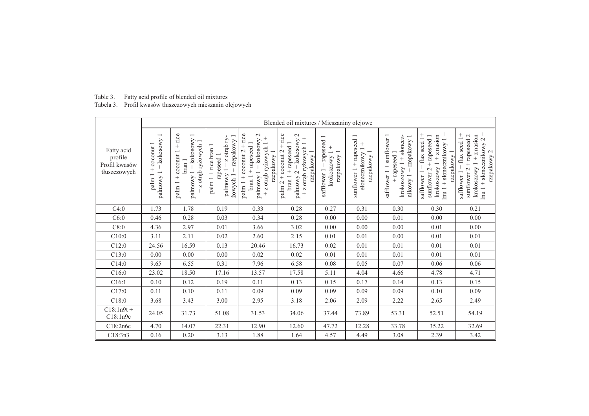| Table 3. | Fatty acid profile of blended oil mixtures               |
|----------|----------------------------------------------------------|
|          | Tabela 3. Profil kwasów tłuszczowych mieszanin olejowych |

|                                                        |                                                                                      | Blended oil mixtures / Mieszaniny olejowe                                                                              |                                                                                                           |                                                                                                                                                                               |                                                                                                                                                               |                                                        |                                                                                       |                                                                                                         |                                                                                                                                                    |                                                                                                                                    |  |  |  |
|--------------------------------------------------------|--------------------------------------------------------------------------------------|------------------------------------------------------------------------------------------------------------------------|-----------------------------------------------------------------------------------------------------------|-------------------------------------------------------------------------------------------------------------------------------------------------------------------------------|---------------------------------------------------------------------------------------------------------------------------------------------------------------|--------------------------------------------------------|---------------------------------------------------------------------------------------|---------------------------------------------------------------------------------------------------------|----------------------------------------------------------------------------------------------------------------------------------------------------|------------------------------------------------------------------------------------------------------------------------------------|--|--|--|
| Fatty acid<br>profile<br>Profil kwasów<br>tłuszczowych | $\overline{\phantom{0}}$<br>+ kokosowy<br>coconut 1<br>$^{+}$<br>palmowy 1<br>palm 1 | rice<br>$+$ kokosowy 1<br>rvżowych 1<br>otrąb ryżowych<br>$^{+}$<br>coconut 1<br>bran 1<br>palmowy 1<br>$^{+}$<br>palm | palmowy 1 + z otrąb ry<br>rzepakowy<br>$^{+}$<br>palm 1 + rice bran 1<br>rapeseed 1<br>$^{+}$<br>żowych 1 | rice<br>$\mathcal{L}$<br>$+$<br>palmowy 1 + kokosowy<br>+ rapeseed 1<br>+ z otrąb ryżowych 1<br>$\ddot{}$<br>$+$ coconut 2<br>rzepakowy 1<br>brain <sub>1</sub><br>$palm$ $1$ | $\mathbf{C}$<br>rice<br>$^{+}$<br>palmowy 2 + kokosowy<br>+ rapeseed 1<br>+ z otrąb ryżowych 1<br>palm $2 +$ coconut $2$<br>rzepakowy 1<br>brain <sub>1</sub> | + rapeseed 1<br>rzepakowy<br>krokoszowy<br>safflower 1 | $\overline{\phantom{0}}$<br>+ rapeseed<br>rzepakowy 1<br>słonecznikowy<br>sunflower 1 | sunflower 1<br>+ słonecz-<br>+ rzepakowy 1<br>+ rapeseed 1<br>krokoszowy 1<br>safflower 1 +<br>nikowy 1 | $^{+}$<br>$+$ flax seed 1+<br>$+ z$ nasion<br>+ rapeseed 1<br>$nu 1 + slopeznikowy 1$<br>rzepakowy 1<br>krokoszowy 1<br>sunflower 2<br>safflower 1 | krokoszowy 1 + z nasion<br>lnu 1 + słonecznikowy 2 +<br>rzepakowy 2<br>safflower 1 + flax seed 1+<br>$+$ rapeseed 2<br>sunflower 2 |  |  |  |
| C4:0                                                   | 1.73                                                                                 | 1.78                                                                                                                   | 0.19                                                                                                      | 0.33                                                                                                                                                                          | 0.28                                                                                                                                                          | 0.27                                                   | 0.31                                                                                  | 0.30                                                                                                    | 0.30                                                                                                                                               | 0.21                                                                                                                               |  |  |  |
| C6:0                                                   | 0.46                                                                                 | 0.28                                                                                                                   | 0.03                                                                                                      | 0.34                                                                                                                                                                          | 0.28                                                                                                                                                          | 0.00                                                   | 0.00                                                                                  | 0.01                                                                                                    | 0.00                                                                                                                                               | 0.00                                                                                                                               |  |  |  |
| C8:0                                                   | 4.36                                                                                 | 2.97                                                                                                                   | 0.01                                                                                                      | 3.66                                                                                                                                                                          | 3.02                                                                                                                                                          | 0.00                                                   | 0.00                                                                                  | 0.00                                                                                                    | 0.01                                                                                                                                               | 0.00                                                                                                                               |  |  |  |
| C10:0                                                  | 3.11                                                                                 | 2.11                                                                                                                   | 0.02                                                                                                      | 2.60                                                                                                                                                                          | 2.15                                                                                                                                                          | 0.01                                                   | 0.01                                                                                  | 0.00                                                                                                    | 0.01                                                                                                                                               | 0.01                                                                                                                               |  |  |  |
| C12:0                                                  | 24.56                                                                                | 16.59                                                                                                                  | 0.13                                                                                                      | 20.46                                                                                                                                                                         | 16.73                                                                                                                                                         | 0.02                                                   | 0.01                                                                                  | 0.01                                                                                                    | 0.01                                                                                                                                               | 0.01                                                                                                                               |  |  |  |
| C13:0                                                  | 0.00                                                                                 | $0.00\,$                                                                                                               | 0.00                                                                                                      | 0.02                                                                                                                                                                          | 0.02                                                                                                                                                          | 0.01                                                   | 0.01                                                                                  | 0.01                                                                                                    | 0.01                                                                                                                                               | 0.01                                                                                                                               |  |  |  |
| C14:0                                                  | 9.65                                                                                 | 6.55                                                                                                                   | 0.31                                                                                                      | 7.96                                                                                                                                                                          | 6.58                                                                                                                                                          | 0.08                                                   | 0.05                                                                                  | 0.07                                                                                                    | 0.06                                                                                                                                               | 0.06                                                                                                                               |  |  |  |
| C16:0                                                  | 23.02                                                                                | 18.50                                                                                                                  | 17.16                                                                                                     | 13.57                                                                                                                                                                         | 17.58                                                                                                                                                         | 5.11                                                   | 4.04                                                                                  | 4.66                                                                                                    | 4.78                                                                                                                                               | 4.71                                                                                                                               |  |  |  |
| C16:1                                                  | 0.10                                                                                 | 0.12                                                                                                                   | 0.19                                                                                                      | 0.11                                                                                                                                                                          | 0.13                                                                                                                                                          | 0.15                                                   | 0.17                                                                                  | 0.14                                                                                                    | 0.13                                                                                                                                               | 0.15                                                                                                                               |  |  |  |
| C17:0                                                  | 0.11                                                                                 | 0.10                                                                                                                   | 0.11                                                                                                      | 0.09                                                                                                                                                                          | 0.09                                                                                                                                                          | 0.09                                                   | 0.09                                                                                  | 0.09                                                                                                    | 0.10                                                                                                                                               | 0.09                                                                                                                               |  |  |  |
| C18:0                                                  | 3.68                                                                                 | 3.43                                                                                                                   | 3.00                                                                                                      | 2.95                                                                                                                                                                          | 3.18                                                                                                                                                          | 2.06                                                   | 2.09                                                                                  | 2.22                                                                                                    | 2.65                                                                                                                                               | 2.49                                                                                                                               |  |  |  |
| $C18:1n9t +$<br>C18:1n9c                               | 24.05                                                                                | 31.73                                                                                                                  | 51.08                                                                                                     | 31.53                                                                                                                                                                         | 34.06                                                                                                                                                         | 37.44                                                  | 73.89                                                                                 | 53.31                                                                                                   | 52.51                                                                                                                                              | 54.19                                                                                                                              |  |  |  |
| C18:2n6c                                               | 4.70                                                                                 | 14.07                                                                                                                  | 22.31                                                                                                     | 12.90                                                                                                                                                                         | 12.60                                                                                                                                                         | 47.72                                                  | 12.28                                                                                 | 33.78                                                                                                   | 35.22                                                                                                                                              | 32.69                                                                                                                              |  |  |  |
| C18:3n3                                                | 0.16                                                                                 | 0.20                                                                                                                   | 3.13                                                                                                      | 1.88                                                                                                                                                                          | 1.64                                                                                                                                                          | 4.57                                                   | 4.49                                                                                  | 3.08                                                                                                    | 2.39                                                                                                                                               | 3.42                                                                                                                               |  |  |  |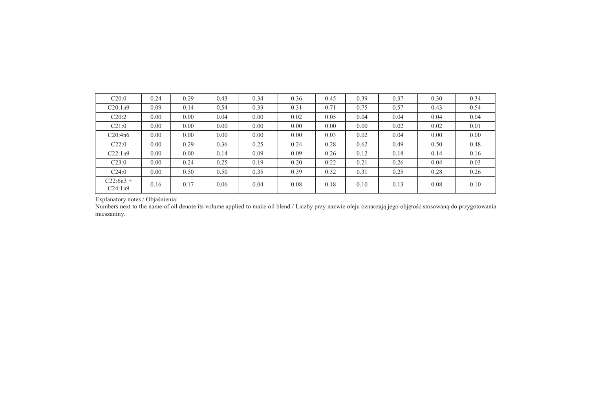| C20:0                  | 0.24 | 0.29 | 0.43 | 0.34 | 0.36 | 0.45 | 0.39 | 0.37 | 0.30 | 0.34 |
|------------------------|------|------|------|------|------|------|------|------|------|------|
| C20:1n9                | 0.09 | 0.14 | 0.54 | 0.33 | 0.31 | 0.71 | 0.75 | 0.57 | 0.43 | 0.54 |
| C20:2                  | 0.00 | 0.00 | 0.04 | 0.00 | 0.02 | 0.05 | 0.04 | 0.04 | 0.04 | 0.04 |
| C21:0                  | 0.00 | 0.00 | 0.00 | 0.00 | 0.00 | 0.00 | 0.00 | 0.02 | 0.02 | 0.01 |
| C20:4n6                | 0.00 | 0.00 | 0.00 | 0.00 | 0.00 | 0.03 | 0.02 | 0.04 | 0.00 | 0.00 |
| C22:0                  | 0.00 | 0.29 | 0.36 | 0.25 | 0.24 | 0.28 | 0.62 | 0.49 | 0.50 | 0.48 |
| C22:1n9                | 0.00 | 0.00 | 0.14 | 0.09 | 0.09 | 0.26 | 0.12 | 0.18 | 0.14 | 0.16 |
| C23:0                  | 0.00 | 0.24 | 0.25 | 0.19 | 0.20 | 0.22 | 0.21 | 0.26 | 0.04 | 0.03 |
| C24:0                  | 0.00 | 0.50 | 0.50 | 0.35 | 0.39 | 0.32 | 0.31 | 0.25 | 0.28 | 0.26 |
| $C22:6n3 +$<br>C24:1n9 | 0.16 | 0.17 | 0.06 | 0.04 | 0.08 | 0.18 | 0.10 | 0.13 | 0.08 | 0.10 |

Explanatory notes / Objaśnienia:

Numbers next to the name of oil denote its volume applied to make oil blend / Liczby przy nazwie oleju oznaczają jego objętość stosowaną do przygotowania mieszaniny.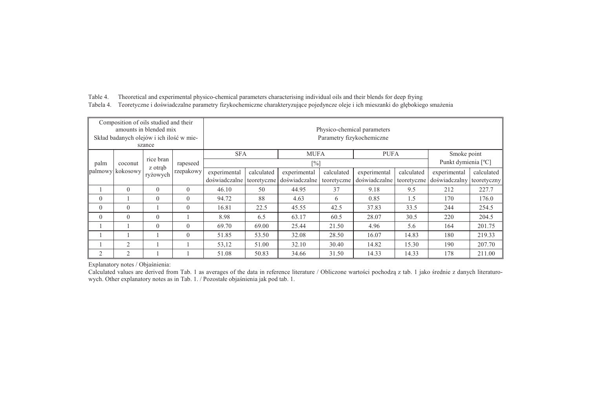| Table 4. Theoretical and experimental physico-chemical parameters characterising individual oils and their blends for deep frying        |
|------------------------------------------------------------------------------------------------------------------------------------------|
| Tabela 4. Teoretyczne i doświadczalne parametry fizykochemiczne charakteryzujące pojedyncze oleje i ich mieszanki do głębokiego smażenia |

|          | Composition of oils studied and their<br>amounts in blended mix<br>Skład badanych olejów i ich ilość w mie-<br>szance |                      |           | Physico-chemical parameters<br>Parametry fizykochemiczne |                                          |                   |             |               |             |                     |             |
|----------|-----------------------------------------------------------------------------------------------------------------------|----------------------|-----------|----------------------------------------------------------|------------------------------------------|-------------------|-------------|---------------|-------------|---------------------|-------------|
|          |                                                                                                                       |                      |           |                                                          | <b>SFA</b><br><b>MUFA</b><br><b>PUFA</b> |                   |             |               | Smoke point |                     |             |
| palm     | coconut                                                                                                               | rice bran<br>z otrab | rapeseed  |                                                          |                                          | $\lceil\% \rceil$ |             |               |             | Punkt dymienia [°C] |             |
| palmowy  | kokosowy                                                                                                              | ryżowych             | rzepakowy | experimental                                             | calculated                               | experimental      | calculated  | experimental  | calculated  | experimental        | calculated  |
|          |                                                                                                                       |                      |           | doświadczalne                                            | teoretyczne                              | doświadczalne     | teoretyczne | doświadczalne | teoretyczne | doświadczalny       | teoretyczny |
|          | $\Omega$                                                                                                              | $\Omega$             | $\theta$  | 46.10                                                    | 50                                       | 44.95             | 37          | 9.18          | 9.5         | 212                 | 227.7       |
| $\theta$ |                                                                                                                       | $\theta$             | $\theta$  | 94.72                                                    | 88                                       | 4.63              | 6           | 0.85          | 1.5         | 170                 | 176.0       |
| $\theta$ | $\Omega$                                                                                                              |                      | $\theta$  | 16.81                                                    | 22.5                                     | 45.55             | 42.5        | 37.83         | 33.5        | 244                 | 254.5       |
| $\theta$ | $\Omega$                                                                                                              | $\Omega$             |           | 8.98                                                     | 6.5                                      | 63.17             | 60.5        | 28.07         | 30.5        | 220                 | 204.5       |
|          |                                                                                                                       | $\Omega$             | $\theta$  | 69.70                                                    | 69.00                                    | 25.44             | 21.50       | 4.96          | 5.6         | 164                 | 201.75      |
|          |                                                                                                                       |                      | $\Omega$  | 51.85                                                    | 53.50                                    | 32.08             | 28.50       | 16.07         | 14.83       | 180                 | 219.33      |
|          | $\overline{c}$                                                                                                        |                      |           | 53,12                                                    | 51.00                                    | 32.10             | 30.40       | 14.82         | 15.30       | 190                 | 207.70      |
| 2        | $\overline{c}$                                                                                                        |                      |           | 51.08                                                    | 50.83                                    | 34.66             | 31.50       | 14.33         | 14.33       | 178                 | 211.00      |

Explanatory notes / Objaśnienia:

Calculated values are derived from Tab. 1 as averages of the data in reference literature / Obliczone wartości pochodzą z tab. 1 jako średnie z danych literaturowych. Other explanatory notes as in Tab. 1. / Pozostałe objaśnienia jak pod tab. 1.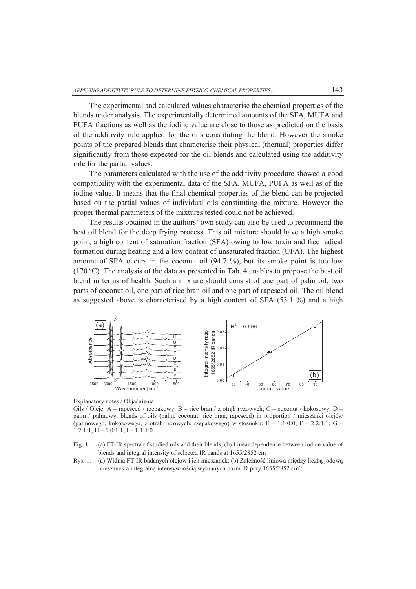The experimental and calculated values characterise the chemical properties of the blends under analysis. The experimentally determined amounts of the SFA, MUFA and PUFA fractions as well as the iodine value are close to those as predicted on the basis of the additivity rule applied for the oils constituting the blend. However the smoke points of the prepared blends that characterise their physical (thermal) properties differ significantly from those expected for the oil blends and calculated using the additivity rule for the partial values.

The parameters calculated with the use of the additivity procedure showed a good compatibility with the experimental data of the SFA, MUFA, PUFA as well as of the iodine value. It means that the final chemical properties of the blend can be projected based on the partial values of individual oils constituting the mixture. However the proper thermal parameters of the mixtures tested could not be achieved.

The results obtained in the authors' own study can also be used to recommend the best oil blend for the deep frying process. This oil mixture should have a high smoke point, a high content of saturation fraction (SFA) owing to low toxin and free radical formation during heating and a low content of unsaturated fraction (UFA). The highest amount of SFA occurs in the coconut oil (94.7 %), but its smoke point is too low (170 ºC). The analysis of the data as presented in Tab. 4 enables to propose the best oil blend in terms of health. Such a mixture should consist of one part of palm oil, two parts of coconut oil, one part of rice bran oil and one part of rapeseed oil. The oil blend as suggested above is characterised by a high content of SFA (53.1 %) and a high



Explanatory notes / Objaśnienia:

Oils / Oleje: A – rapeseed / rzepakowy; B – rice bran / z otrąb ryżowych; C – coconut / kokosowy; D – palm / palmowy; blends of oils (palm, coconut, rice bran, rapeseed) in proportion / mieszanki olejów (palmowego, kokosowego, z otrąb ryżowych, rzepakowego) w stosunku: E – 1:1:0:0; F – 2:2:1:1; G – 1:2:1:1; H – 1:0:1:1; I – 1:1:1:0.

- Fig. 1. (a) FT-IR spectra of studied oils and their blends; (b) Linear dependence between iodine value of blends and integral intensity of selected IR bands at 1655/2852 cm-1
- Rys. 1. (a) Widma FT-IR badanych olejów i ich mieszanek; (b) Zależność liniowa między liczbą jodową mieszanek a integralną intensywnością wybranych pasm IR przy 1655/2852 cm-1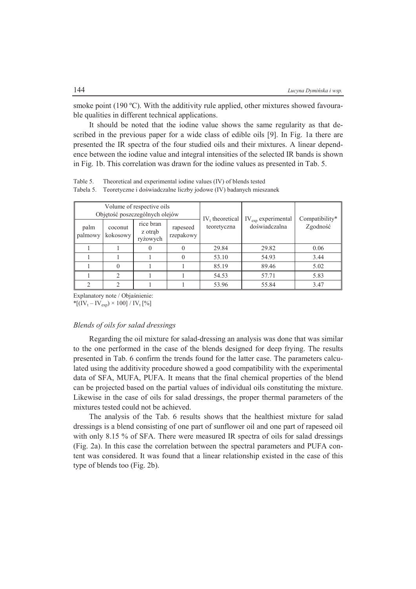smoke point (190  $^{\circ}$ C). With the additivity rule applied, other mixtures showed favourable qualities in different technical applications.

It should be noted that the iodine value shows the same regularity as that described in the previous paper for a wide class of edible oils [9]. In Fig. 1a there are presented the IR spectra of the four studied oils and their mixtures. A linear dependence between the iodine value and integral intensities of the selected IR bands is shown in Fig. 1b. This correlation was drawn for the iodine values as presented in Tab. 5.

Volume of respective oils Objętość poszczególnych olejów  $IV_t$  theoretical teoretyczna  $IV_{\text{exn}}$  experimental palm coconut <sup>nce branch</sup> rapeseed teoretyczna doświadczalna Zgodność Compatibility\* palmowy coconut kokosowy rice bran z otrąb ryżowych rapeseed rzepakowy 1 | 1 | 0 | 0 | 29.84 | 29.82 | 0.06 1 | 1 | 0 | 53.10 | 54.93 | 3.44 1 0 1 1 85.19 89.46 5.02  $1 \quad 2 \quad 1 \quad 1 \quad 1 \quad 54.53 \quad 57.71 \quad 583$ 2 | 2 | 1 | 1 | 53.96 | 55.84 | 3.47

Table 5. Theoretical and experimental iodine values (IV) of blends tested Tabela 5. Teoretyczne i doświadczalne liczby jodowe (IV) badanych mieszanek

Explanatory note / Objaśnienie:

 $*[(IV_t - IV_{exp}) \times 100] / IV_t [%]$ 

#### *Blends of oils for salad dressings*

Regarding the oil mixture for salad-dressing an analysis was done that was similar to the one performed in the case of the blends designed for deep frying. The results presented in Tab. 6 confirm the trends found for the latter case. The parameters calculated using the additivity procedure showed a good compatibility with the experimental data of SFA, MUFA, PUFA. It means that the final chemical properties of the blend can be projected based on the partial values of individual oils constituting the mixture. Likewise in the case of oils for salad dressings, the proper thermal parameters of the mixtures tested could not be achieved.

The analysis of the Tab. 6 results shows that the healthiest mixture for salad dressings is a blend consisting of one part of sunflower oil and one part of rapeseed oil with only 8.15 % of SFA. There were measured IR spectra of oils for salad dressings (Fig. 2a). In this case the correlation between the spectral parameters and PUFA content was considered. It was found that a linear relationship existed in the case of this type of blends too (Fig. 2b).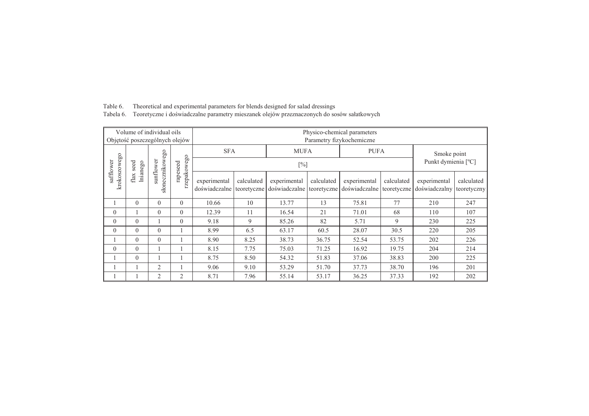| Volume of individual oils      |                                                                               |                |                | Physico-chemical parameters |                           |                                                                     |                     |                                           |            |                               |                           |  |  |
|--------------------------------|-------------------------------------------------------------------------------|----------------|----------------|-----------------------------|---------------------------|---------------------------------------------------------------------|---------------------|-------------------------------------------|------------|-------------------------------|---------------------------|--|--|
| Objętość poszczególnych olejów |                                                                               |                |                |                             | Parametry fizykochemiczne |                                                                     |                     |                                           |            |                               |                           |  |  |
|                                |                                                                               |                |                | <b>SFA</b>                  |                           | <b>MUFA</b>                                                         |                     | <b>PUFA</b>                               |            | Smoke point                   |                           |  |  |
|                                | seed                                                                          |                | rapeseed       |                             |                           |                                                                     | Punkt dymienia [°C] |                                           |            |                               |                           |  |  |
|                                | słonecznikowego<br>krokoszowego<br>sunflower<br>safflower<br>lnianego<br>flax |                | rzepakowego    | experimental                | calculated                | experimental<br>doświadczalne teoretyczne doświadczalne teoretyczne | calculated          | experimental<br>doświadczalne teoretyczne | calculated | experimental<br>doświadczalny | calculated<br>teoretyczny |  |  |
|                                | $\Omega$                                                                      | $\theta$       | $\theta$       | 10.66                       | 10                        | 13.77                                                               | 13                  | 75.81                                     | 77         | 210                           | 247                       |  |  |
| $\theta$                       |                                                                               | $\theta$       | $\theta$       | 12.39                       | 11                        | 16.54                                                               | 21                  | 71.01                                     | 68         | 110                           | 107                       |  |  |
| $\theta$                       | $\theta$                                                                      |                | $\theta$       | 9.18                        | 9                         | 85.26                                                               | 82                  | 5.71                                      | 9          | 230                           | 225                       |  |  |
| $\theta$                       | $\Omega$                                                                      | $\theta$       |                | 8.99                        | 6.5                       | 63.17                                                               | 60.5                | 28.07                                     | 30.5       | 220                           | 205                       |  |  |
|                                | $\Omega$                                                                      | $\theta$       |                | 8.90                        | 8.25                      | 38.73                                                               | 36.75               | 52.54                                     | 53.75      | 202                           | 226                       |  |  |
| $\theta$                       | $\Omega$                                                                      |                |                | 8.15                        | 7.75                      | 75.03                                                               | 71.25               | 16.92                                     | 19.75      | 204                           | 214                       |  |  |
|                                | $\Omega$                                                                      |                |                | 8.75                        | 8.50                      | 54.32                                                               | 51.83               | 37.06                                     | 38.83      | 200                           | 225                       |  |  |
|                                |                                                                               | $\overline{2}$ |                | 9.06                        | 9.10                      | 53.29                                                               | 51.70               | 37.73                                     | 38.70      | 196                           | 201                       |  |  |
|                                |                                                                               | $\overline{2}$ | $\overline{2}$ | 8.71                        | 7.96                      | 55.14                                                               | 53.17               | 36.25                                     | 37.33      | 192                           | 202                       |  |  |

Table 6. Theoretical and experimental parameters for blends designed for salad dressings Tabela 6. Teoretyczne i doświadczalne parametry mieszanek olejów przeznaczonych do sosów sałatkowych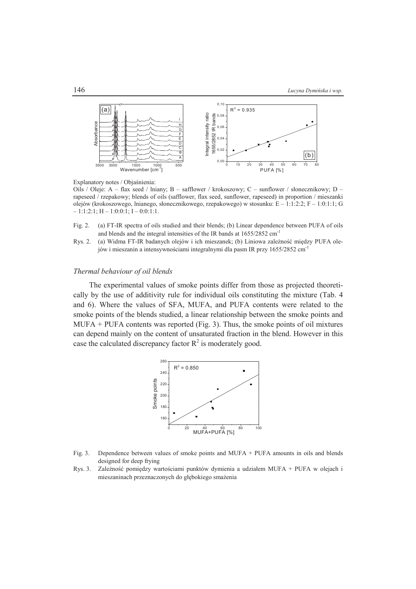

Explanatory notes / Objaśnienia:

Oils / Oleje: A – flax seed / lniany; B – safflower / krokoszowy; C – sunflower / słonecznikowy; D – rapeseed / rzepakowy; blends of oils (safflower, flax seed, sunflower, rapeseed) in proportion / mieszanki olejów (krokoszowego, lnianego, słonecznikowego, rzepakowego) w stosunku: E – 1:1:2:2; F – 1:0:1:1; G  $-1:1:2:1; H-1:0:0:1; I-0:0:1:1.$ 

- Fig. 2. (a) FT-IR spectra of oils studied and their blends; (b) Linear dependence between PUFA of oils and blends and the integral intensities of the IR bands at 1655/2852 cm-1
- Rys. 2. (a) Widma FT-IR badanych olejów i ich mieszanek; (b) Liniowa zależność między PUFA olejów i mieszanin a intensywnościami integralnymi dla pasm IR przy 1655/2852 cm-1

### *Thermal behaviour of oil blends*

The experimental values of smoke points differ from those as projected theoretically by the use of additivity rule for individual oils constituting the mixture (Tab. 4 and 6). Where the values of SFA, MUFA, and PUFA contents were related to the smoke points of the blends studied, a linear relationship between the smoke points and  $MUPA + PUFA$  contents was reported (Fig. 3). Thus, the smoke points of oil mixtures can depend mainly on the content of unsaturated fraction in the blend. However in this case the calculated discrepancy factor  $R^2$  is moderately good.



- Fig. 3. Dependence between values of smoke points and MUFA + PUFA amounts in oils and blends designed for deep frying
- Rys. 3. Zależność pomiędzy wartościami punktów dymienia a udziałem MUFA + PUFA w olejach i mieszaninach przeznaczonych do głębokiego smażenia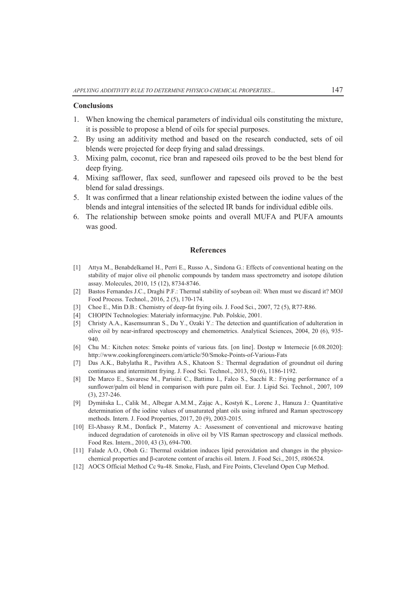#### **Conclusions**

- 1. When knowing the chemical parameters of individual oils constituting the mixture, it is possible to propose a blend of oils for special purposes.
- 2. By using an additivity method and based on the research conducted, sets of oil blends were projected for deep frying and salad dressings.
- 3. Mixing palm, coconut, rice bran and rapeseed oils proved to be the best blend for deep frying.
- 4. Mixing safflower, flax seed, sunflower and rapeseed oils proved to be the best blend for salad dressings.
- 5. It was confirmed that a linear relationship existed between the iodine values of the blends and integral intensities of the selected IR bands for individual edible oils.
- 6. The relationship between smoke points and overall MUFA and PUFA amounts was good.

## **References**

- [1] Attya M., Benabdelkamel H., Perri E., Russo A., Sindona G.: Effects of conventional heating on the stability of major olive oil phenolic compounds by tandem mass spectrometry and isotope dilution assay. Molecules, 2010, 15 (12), 8734-8746.
- [2] Bastos Fernandes J.C., Draghi P.F.: Thermal stability of soybean oil: When must we discard it? MOJ Food Process. Technol., 2016, 2 (5), 170-174.
- [3] Choe E., Min D.B.: Chemistry of deep-fat frying oils. J. Food Sci., 2007, 72 (5), R77-R86.
- [4] CHOPIN Technologies: Materiały informacyjne. Pub. Polskie, 2001.
- [5] Christy A.A., Kasemsumran S., Du Y., Ozaki Y.: The detection and quantification of adulteration in olive oil by near-infrared spectroscopy and chemometrics. Analytical Sciences, 2004, 20 (6), 935- 940.
- [6] Chu M.: Kitchen notes: Smoke points of various fats. [on line]. Dostęp w Internecie [6.08.2020]: http://www.cookingforengineers.com/article/50/Smoke-Points-of-Various-Fats
- [7] Das A.K., Babylatha R., Pavithra A.S., Khatoon S.: Thermal degradation of groundnut oil during continuous and intermittent frying. J. Food Sci. Technol., 2013, 50 (6), 1186-1192.
- [8] De Marco E., Savarese M., Parisini C., Battimo I., Falco S., Sacchi R.: Frying performance of a sunflower/palm oil blend in comparison with pure palm oil. Eur. J. Lipid Sci. Technol., 2007, 109 (3), 237-246.
- [9] Dymińska L., Calik M., Albegar A.M.M., Zając A., Kostyń K., Lorenc J., Hanuza J.: Quantitative determination of the iodine values of unsaturated plant oils using infrared and Raman spectroscopy methods. Intern. J. Food Properties, 2017, 20 (9), 2003-2015.
- [10] El-Abassy R.M., Donfack P., Materny A.: Assessment of conventional and microwave heating induced degradation of carotenoids in olive oil by VIS Raman spectroscopy and classical methods. Food Res. Intern., 2010, 43 (3), 694-700.
- [11] Falade A.O., Oboh G.: Thermal oxidation induces lipid peroxidation and changes in the physicochemical properties and β-carotene content of arachis oil. Intern. J. Food Sci., 2015, #806524.
- [12] AOCS Official Method Cc 9a-48. Smoke, Flash, and Fire Points, Cleveland Open Cup Method.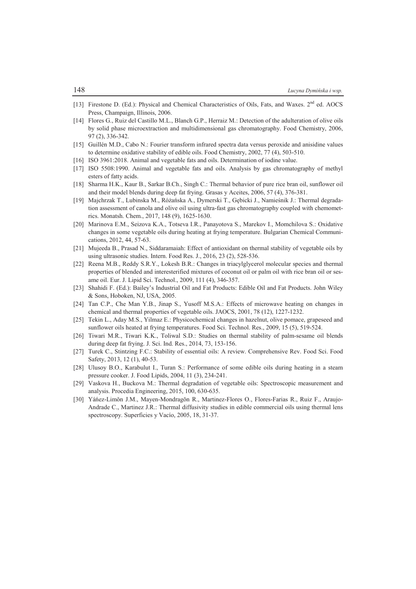- [13] Firestone D. (Ed.): Physical and Chemical Characteristics of Oils, Fats, and Waxes. 2<sup>nd</sup> ed. AOCS Press, Champaign, Illinois, 2006.
- [14] Flores G., Ruiz del Castillo M.L., Blanch G.P., Herraiz M.: Detection of the adulteration of olive oils by solid phase microextraction and multidimensional gas chromatography. Food Chemistry, 2006, 97 (2), 336-342.
- [15] Guillén M.D., Cabo N.: Fourier transform infrared spectra data versus peroxide and anisidine values to determine oxidative stability of edible oils. Food Chemistry, 2002, 77 (4), 503-510.
- [16] ISO 3961:2018. Animal and vegetable fats and oils. Determination of iodine value.
- [17] ISO 5508:1990. Animal and vegetable fats and oils. Analysis by gas chromatography of methyl esters of fatty acids.
- [18] Sharma H.K., Kaur B., Sarkar B.Ch., Singh C.: Thermal behavior of pure rice bran oil, sunflower oil and their model blends during deep fat frying. Grasas y Aceites, 2006, 57 (4), 376-381.
- [19] Majchrzak T., Lubinska M., Różańska A., Dymerski T., Gębicki J., Namieśnik J.: Thermal degradation assessment of canola and olive oil using ultra-fast gas chromatography coupled with chemometrics. Monatsh. Chem., 2017, 148 (9), 1625-1630.
- [20] Marinova E.M., Seizova K.A., Totseva I.R., Panayotova S., Marekov I., Momchilova S.: Oxidative changes in some vegetable oils during heating at frying temperature. Bulgarian Chemical Communications, 2012, 44, 57-63.
- [21] Mujeeda B., Prasad N., Siddaramaiah: Effect of antioxidant on thermal stability of vegetable oils by using ultrasonic studies. Intern. Food Res. J., 2016, 23 (2), 528-536.
- [22] Reena M.B., Reddy S.R.Y., Lokesh B.R.: Changes in triacylglycerol molecular species and thermal properties of blended and interesterified mixtures of coconut oil or palm oil with rice bran oil or sesame oil. Eur. J. Lipid Sci. Technol., 2009, 111 (4), 346-357.
- [23] Shahidi F. (Ed.): Bailey's Industrial Oil and Fat Products: Edible Oil and Fat Products. John Wiley & Sons, Hoboken, NJ, USA, 2005.
- [24] Tan C.P., Che Man Y.B., Jinap S., Yusoff M.S.A.: Effects of microwave heating on changes in chemical and thermal properties of vegetable oils. JAOCS, 2001, 78 (12), 1227-1232.
- [25] Tekin L., Aday M.S., Yilmaz E.: Physicochemical changes in hazelnut, olive pomace, grapeseed and sunflower oils heated at frying temperatures. Food Sci. Technol. Res., 2009, 15 (5), 519-524.
- [26] Tiwari M.R., Tiwari K.K., Toliwal S.D.: Studies on thermal stability of palm-sesame oil blends during deep fat frying. J. Sci. Ind. Res., 2014, 73, 153-156.
- [27] Turek C., Stintzing F.C.: Stability of essential oils: A review. Comprehensive Rev. Food Sci. Food Safety, 2013, 12 (1), 40-53.
- [28] Ulusoy B.O., Karabulut I., Turan S.: Performance of some edible oils during heating in a steam pressure cooker. J. Food Lipids, 2004, 11 (3), 234-241.
- [29] Vaskova H., Buckova M.: Thermal degradation of vegetable oils: Spectroscopic measurement and analysis. Procedia Engineering, 2015, 100, 630-635.
- [30] Yáńez-Limŏn J.M., Mayen-Mondragŏn R., Martinez-Flores O., Flores-Farias R., Ruiz F., Araujo-Andrade C., Martinez J.R.: Thermal diffusivity studies in edible commercial oils using thermal lens spectroscopy. Superficies y Vacío, 2005, 18, 31-37.